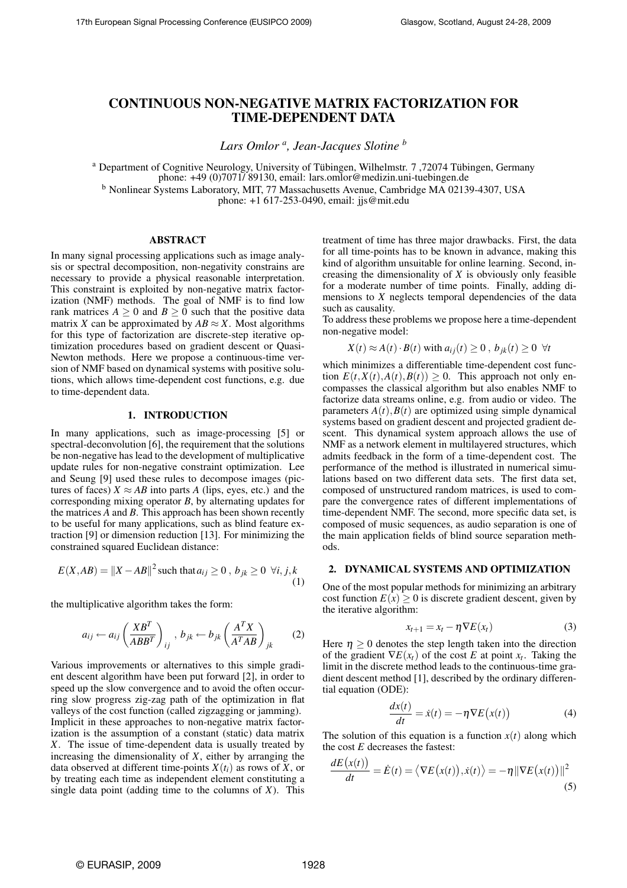# CONTINUOUS NON-NEGATIVE MATRIX FACTORIZATION FOR TIME-DEPENDENT DATA

*Lars Omlor <sup>a</sup> , Jean-Jacques Slotine <sup>b</sup>*

<sup>a</sup> Department of Cognitive Neurology, University of Tübingen, Wilhelmstr. 7,72074 Tübingen, Germany phone: +49 (0)7071/ 89130, email: lars.omlor@medizin.uni-tuebingen.de

<sup>b</sup> Nonlinear Systems Laboratory, MIT, 77 Massachusetts Avenue, Cambridge MA 02139-4307, USA

phone: +1 617-253-0490, email: jjs@mit.edu

### ABSTRACT

In many signal processing applications such as image analysis or spectral decomposition, non-negativity constrains are necessary to provide a physical reasonable interpretation. This constraint is exploited by non-negative matrix factorization (NMF) methods. The goal of NMF is to find low rank matrices  $A \geq 0$  and  $B \geq 0$  such that the positive data matrix *X* can be approximated by  $AB \approx X$ . Most algorithms for this type of factorization are discrete-step iterative optimization procedures based on gradient descent or Quasi-Newton methods. Here we propose a continuous-time version of NMF based on dynamical systems with positive solutions, which allows time-dependent cost functions, e.g. due to time-dependent data.

### 1. INTRODUCTION

In many applications, such as image-processing [5] or spectral-deconvolution [6], the requirement that the solutions be non-negative has lead to the development of multiplicative update rules for non-negative constraint optimization. Lee and Seung [9] used these rules to decompose images (pictures of faces)  $X \approx AB$  into parts *A* (lips, eyes, etc.) and the corresponding mixing operator *B*, by alternating updates for the matrices *A* and *B*. This approach has been shown recently to be useful for many applications, such as blind feature extraction [9] or dimension reduction [13]. For minimizing the constrained squared Euclidean distance:

$$
E(X, AB) = ||X - AB||^2 \text{ such that } a_{ij} \ge 0, b_{jk} \ge 0 \ \forall i, j, k
$$
\n
$$
(1)
$$

the multiplicative algorithm takes the form:

$$
a_{ij} \leftarrow a_{ij} \left(\frac{XB^T}{ABB^T}\right)_{ij}, \, b_{jk} \leftarrow b_{jk} \left(\frac{A^TX}{A^TAB}\right)_{jk} \qquad (2)
$$

Various improvements or alternatives to this simple gradient descent algorithm have been put forward [2], in order to speed up the slow convergence and to avoid the often occurring slow progress zig-zag path of the optimization in flat valleys of the cost function (called zigzagging or jamming). Implicit in these approaches to non-negative matrix factorization is the assumption of a constant (static) data matrix *X*. The issue of time-dependent data is usually treated by increasing the dimensionality of *X*, either by arranging the data observed at different time-points  $X(t_i)$  as rows of  $X$ , or by treating each time as independent element constituting a single data point (adding time to the columns of *X*). This treatment of time has three major drawbacks. First, the data for all time-points has to be known in advance, making this kind of algorithm unsuitable for online learning. Second, increasing the dimensionality of *X* is obviously only feasible for a moderate number of time points. Finally, adding dimensions to *X* neglects temporal dependencies of the data such as causality.

To address these problems we propose here a time-dependent non-negative model:

$$
X(t) \approx A(t) \cdot B(t)
$$
 with  $a_{ij}(t) \ge 0$ ,  $b_{jk}(t) \ge 0 \ \forall t$ 

which minimizes a differentiable time-dependent cost function  $E(t, X(t), A(t), B(t)) \geq 0$ . This approach not only encompasses the classical algorithm but also enables NMF to factorize data streams online, e.g. from audio or video. The parameters  $A(t)$ ,  $B(t)$  are optimized using simple dynamical systems based on gradient descent and projected gradient descent. This dynamical system approach allows the use of NMF as a network element in multilayered structures, which admits feedback in the form of a time-dependent cost. The performance of the method is illustrated in numerical simulations based on two different data sets. The first data set, composed of unstructured random matrices, is used to compare the convergence rates of different implementations of time-dependent NMF. The second, more specific data set, is composed of music sequences, as audio separation is one of the main application fields of blind source separation methods.

# 2. DYNAMICAL SYSTEMS AND OPTIMIZATION

One of the most popular methods for minimizing an arbitrary cost function  $E(x) \ge 0$  is discrete gradient descent, given by the iterative algorithm:

$$
x_{t+1} = x_t - \eta \nabla E(x_t) \tag{3}
$$

Here  $\eta \geq 0$  denotes the step length taken into the direction of the gradient  $\nabla E(x_t)$  of the cost *E* at point  $x_t$ . Taking the limit in the discrete method leads to the continuous-time gradient descent method [1], described by the ordinary differential equation (ODE):

$$
\frac{dx(t)}{dt} = \dot{x}(t) = -\eta \nabla E(x(t))\tag{4}
$$

The solution of this equation is a function  $x(t)$  along which the cost *E* decreases the fastest:<br> $dE(x(t)) = \frac{1}{2}e^{-\lambda t}$ 

$$
\frac{dE(x(t))}{dt} = \dot{E}(t) = \langle \nabla E(x(t)), \dot{x}(t) \rangle = -\eta \|\nabla E(x(t))\|^2
$$
\n(5)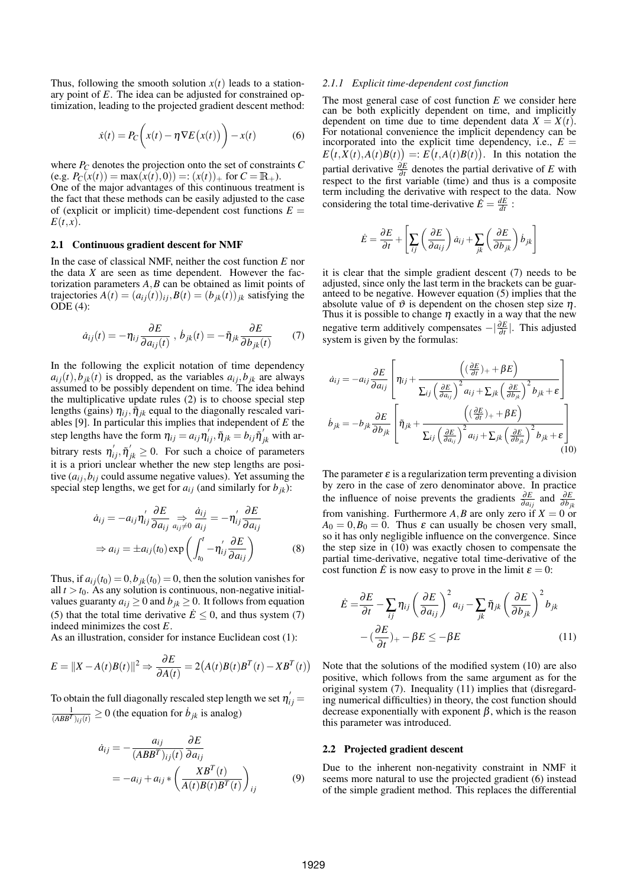Thus, following the smooth solution  $x(t)$  leads to a stationary point of *E*. The idea can be adjusted for constrained optimization, leading to the projected gradient descent method:

$$
\dot{x}(t) = P_C\bigg(x(t) - \eta \nabla E\big(x(t)\big)\bigg) - x(t) \tag{6}
$$

where *P<sup>C</sup>* denotes the projection onto the set of constraints *C*  $(e.g. P_C(x(t)) = \max(x(t),0)) =: (x(t))_+$  for  $C = \mathbb{R}_+$ .

One of the major advantages of this continuous treatment is the fact that these methods can be easily adjusted to the case of (explicit or implicit) time-dependent cost functions  $E =$  $E(t,x)$ .

#### 2.1 Continuous gradient descent for NMF

In the case of classical NMF, neither the cost function *E* nor the data *X* are seen as time dependent. However the factorization parameters *A*,*B* can be obtained as limit points of trajectories  $A(t) = (a_{ij}(t))_{ij}, B(t) = (b_{jk}(t))_{ik}$  satisfying the ODE (4):

$$
\dot{a}_{ij}(t) = -\eta_{ij} \frac{\partial E}{\partial a_{ij}(t)}, \ \dot{b}_{jk}(t) = -\tilde{\eta}_{jk} \frac{\partial E}{\partial b_{jk}(t)} \tag{7}
$$

In the following the explicit notation of time dependency  $a_{ij}(t)$ ,  $b_{jk}(t)$  is dropped, as the variables  $a_{ij}$ ,  $b_{jk}$  are always assumed to be possibly dependent on time. The idea behind the multiplicative update rules (2) is to choose special step lengths (gains)  $\eta_{ij}$ ,  $\tilde{\eta}_{jk}$  equal to the diagonally rescaled variables [9]. In particular this implies that independent of *E* the step lengths have the form  $\eta_{ij} = a_{ij} \eta'_{ij}$ ,  $\tilde{\eta}_{jk} = b_{ij} \tilde{\eta}'_{jk}$  with arbitrary rests  $\eta'_{ij}, \tilde{\eta}'_{jk} \geq 0$ . For such a choice of parameters it is a priori unclear whether the new step lengths are positive  $(a_{ij}, b_{ij}$  could assume negative values). Yet assuming the special step lengths, we get for  $a_{ij}$  (and similarly for  $b_{jk}$ ):

$$
\dot{a}_{ij} = -a_{ij} \eta'_{ij} \frac{\partial E}{\partial a_{ij}} \Rightarrow \frac{\dot{a}_{ij}}{a_{ij} \neq 0} \frac{\dot{a}_{ij}}{a_{ij}} = -\eta'_{ij} \frac{\partial E}{\partial a_{ij}}
$$

$$
\Rightarrow a_{ij} = \pm a_{ij}(t_0) \exp\left(\int_{t_0}^t -\eta'_{ij} \frac{\partial E}{\partial a_{ij}}\right)
$$
(8)

Thus, if  $a_{ij}(t_0) = 0$ ,  $b_{ik}(t_0) = 0$ , then the solution vanishes for all  $t > t_0$ . As any solution is continuous, non-negative initialvalues guaranty  $a_{ij} \geq 0$  and  $b_{jk} \geq 0$ . It follows from equation (5) that the total time derivative  $\dot{E} \leq 0$ , and thus system (7) indeed minimizes the cost *E*.

As an illustration, consider for instance Euclidean cost (1):

$$
E = ||X - A(t)B(t)||^2 \Rightarrow \frac{\partial E}{\partial A(t)} = 2(A(t)B(t)B^{T}(t) - XB^{T}(t))
$$

To obtain the full diagonally rescaled step length we set  $\eta_{ij}^{'}$  =  $\frac{1}{(ABB^T)_{ij}(t)} \ge 0$  (the equation for  $\dot{b}_{jk}$  is analog)

$$
\dot{a}_{ij} = -\frac{a_{ij}}{(ABB^T)_{ij}(t)} \frac{\partial E}{\partial a_{ij}} \n= -a_{ij} + a_{ij} * \left( \frac{XB^T(t)}{A(t)B(t)B^T(t)} \right)_{ij}
$$
\n(9)

#### *2.1.1 Explicit time-dependent cost function*

The most general case of cost function *E* we consider here can be both explicitly dependent on time, and implicitly dependent on time due to time dependent data  $X = X(t)$ . For notational convenience the implicit dependency can be incorporated into the explicit time dependency, i.e.,  $E =$  $E(t, X(t), A(t)B(t)) = E(t, A(t)B(t))$ . In this notation the partial derivative  $\frac{\partial E}{\partial t}$  denotes the partial derivative of *E* with respect to the first variable (time) and thus is a composite term including the derivative with respect to the data. Now considering the total time-derivative  $\dot{E} = \frac{dE}{dt}$ :

$$
\dot{E} = \frac{\partial E}{\partial t} + \left[ \sum_{ij} \left( \frac{\partial E}{\partial a_{ij}} \right) \dot{a}_{ij} + \sum_{jk} \left( \frac{\partial E}{\partial b_{jk}} \right) \dot{b}_{jk} \right]
$$

it is clear that the simple gradient descent (7) needs to be adjusted, since only the last term in the brackets can be guaranteed to be negative. However equation (5) implies that the absolute value of  $\vartheta$  is dependent on the chosen step size  $\eta$ . Thus it is possible to change  $\eta$  exactly in a way that the new negative term additively compensates  $-|\frac{\partial E}{\partial t}|$ . This adjusted system is given by the formulas:

$$
\dot{a}_{ij} = -a_{ij} \frac{\partial E}{\partial a_{ij}} \left[ \eta_{ij} + \frac{\left( (\frac{\partial E}{\partial t})_+ + \beta E \right)}{\sum_{ij} \left( \frac{\partial E}{\partial a_{ij}} \right)^2 a_{ij} + \sum_{jk} \left( \frac{\partial E}{\partial b_{jk}} \right)^2 b_{jk} + \varepsilon} \right]
$$
\n
$$
\dot{b}_{jk} = -b_{jk} \frac{\partial E}{\partial b_{jk}} \left[ \tilde{\eta}_{jk} + \frac{\left( (\frac{\partial E}{\partial t})_+ + \beta E \right)}{\sum_{ij} \left( \frac{\partial E}{\partial a_{ij}} \right)^2 a_{ij} + \sum_{jk} \left( \frac{\partial E}{\partial b_{jk}} \right)^2 b_{jk} + \varepsilon} \right] \tag{10}
$$

The parameter  $\varepsilon$  is a regularization term preventing a division by zero in the case of zero denominator above. In practice the influence of noise prevents the gradients  $\frac{\partial E}{\partial a_{ij}}$  and  $\frac{\partial E}{\partial b_{jk}}$ from vanishing. Furthermore  $A$ ,  $B$  are only zero if  $X = 0$  or  $A_0 = 0, B_0 = 0$ . Thus  $\varepsilon$  can usually be chosen very small, so it has only negligible influence on the convergence. Since the step size in (10) was exactly chosen to compensate the partial time-derivative, negative total time-derivative of the cost function  $\dot{E}$  is now easy to prove in the limit  $\varepsilon = 0$ :

$$
\dot{E} = \frac{\partial E}{\partial t} - \sum_{ij} \eta_{ij} \left( \frac{\partial E}{\partial a_{ij}} \right)^2 a_{ij} - \sum_{jk} \tilde{\eta}_{jk} \left( \frac{\partial E}{\partial b_{jk}} \right)^2 b_{jk}
$$

$$
- \left( \frac{\partial E}{\partial t} \right)_+ - \beta E \le -\beta E \tag{11}
$$

Note that the solutions of the modified system (10) are also positive, which follows from the same argument as for the original system (7). Inequality (11) implies that (disregarding numerical difficulties) in theory, the cost function should decrease exponentially with exponent  $\beta$ , which is the reason this parameter was introduced.

#### 2.2 Projected gradient descent

Due to the inherent non-negativity constraint in NMF it seems more natural to use the projected gradient (6) instead of the simple gradient method. This replaces the differential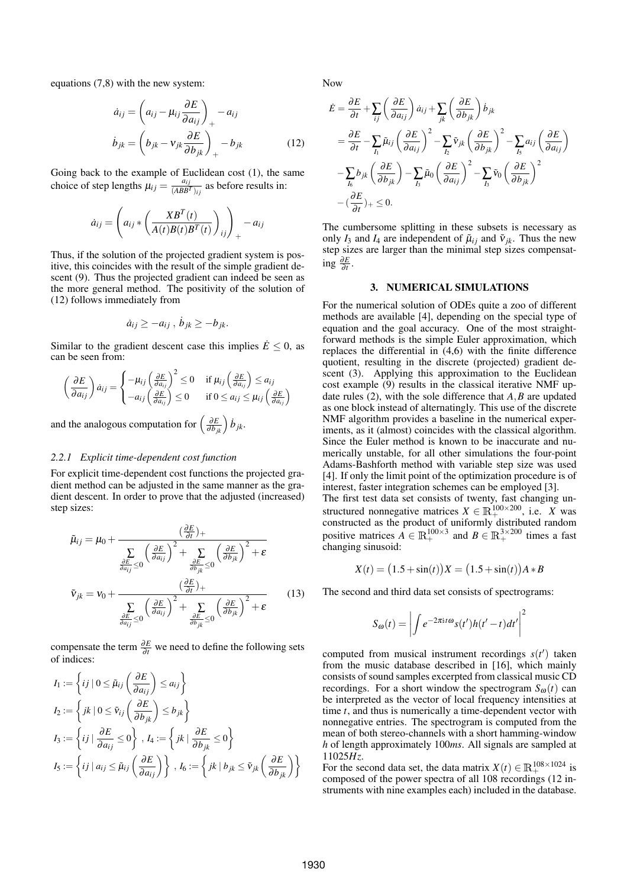equations (7,8) with the new system:

$$
\dot{a}_{ij} = \left(a_{ij} - \mu_{ij} \frac{\partial E}{\partial a_{ij}}\right)_{+} - a_{ij}
$$
\n
$$
\dot{b}_{jk} = \left(b_{jk} - v_{jk} \frac{\partial E}{\partial b_{jk}}\right)_{+} - b_{jk}
$$
\n(12)

Going back to the example of Euclidean cost (1), the same choice of step lengths  $\mu_{ij} = \frac{a_{ij}}{(ARR)^2}$  $\frac{a_{ij}}{(ABB^T)_{ij}}$  as before results in:

$$
\dot{a}_{ij} = \left( a_{ij} * \left( \frac{XB^{T}(t)}{A(t)B(t)B^{T}(t)} \right)_{ij} \right)_{+} - a_{ij}
$$

Thus, if the solution of the projected gradient system is positive, this coincides with the result of the simple gradient descent (9). Thus the projected gradient can indeed be seen as the more general method. The positivity of the solution of (12) follows immediately from

$$
\dot{a}_{ij} \geq -a_{ij} , \, \dot{b}_{jk} \geq -b_{jk}.
$$

Similar to the gradient descent case this implies  $\dot{E} \leq 0$ , as can be seen from:

$$
\left(\frac{\partial E}{\partial a_{ij}}\right) \dot{a}_{ij} = \begin{cases} -\mu_{ij} \left(\frac{\partial E}{\partial a_{ij}}\right)^2 \le 0 & \text{if } \mu_{ij} \left(\frac{\partial E}{\partial a_{ij}}\right) \le a_{ij} \\ -a_{ij} \left(\frac{\partial E}{\partial a_{ij}}\right) \le 0 & \text{if } 0 \le a_{ij} \le \mu_{ij} \left(\frac{\partial E}{\partial a_{ij}}\right) \end{cases}
$$

and the analogous computation for  $\left(\frac{\partial E}{\partial h}\right)$  $\frac{\partial E}{\partial b_{jk}}\Big)$   $\dot{b}_{jk}$ .

## *2.2.1 Explicit time-dependent cost function*

For explicit time-dependent cost functions the projected gradient method can be adjusted in the same manner as the gradient descent. In order to prove that the adjusted (increased) step sizes:

$$
\tilde{\mu}_{ij} = \mu_0 + \frac{(\frac{\partial E}{\partial t})_+}{\sum\limits_{\substack{\frac{\partial E}{\partial a_{ij}} \le 0}} \left(\frac{\partial E}{\partial a_{ij}}\right)^2 + \sum\limits_{\substack{\frac{\partial E}{\partial b_{jk}} \le 0}} \left(\frac{\partial E}{\partial b_{jk}}\right)^2 + \varepsilon}
$$
\n
$$
\tilde{v}_{jk} = v_0 + \frac{(\frac{\partial E}{\partial t})_+}{\sum\limits_{\substack{\frac{\partial E}{\partial a_{ij}} \le 0}} \left(\frac{\partial E}{\partial a_{ij}}\right)^2 + \sum\limits_{\substack{\frac{\partial E}{\partial b_{jk}} \le 0}} \left(\frac{\partial E}{\partial b_{jk}}\right)^2 + \varepsilon}
$$
\n(13)

compensate the term <sup>∂</sup>*<sup>E</sup>* ∂*t* we need to define the following sets of indices:

$$
I_1 := \left\{ ij \mid 0 \le \tilde{\mu}_{ij} \left( \frac{\partial E}{\partial a_{ij}} \right) \le a_{ij} \right\}
$$
  
\n
$$
I_2 := \left\{ jk \mid 0 \le \tilde{v}_{ij} \left( \frac{\partial E}{\partial b_{jk}} \right) \le b_{jk} \right\}
$$
  
\n
$$
I_3 := \left\{ ij \mid \frac{\partial E}{\partial a_{ij}} \le 0 \right\}, I_4 := \left\{ jk \mid \frac{\partial E}{\partial b_{jk}} \le 0 \right\}
$$
  
\n
$$
I_5 := \left\{ ij \mid a_{ij} \le \tilde{\mu}_{ij} \left( \frac{\partial E}{\partial a_{ij}} \right) \right\}, I_6 := \left\{ jk \mid b_{jk} \le \tilde{v}_{jk} \left( \frac{\partial E}{\partial b_{jk}} \right) \right\}
$$

Now

$$
\dot{E} = \frac{\partial E}{\partial t} + \sum_{ij} \left( \frac{\partial E}{\partial a_{ij}} \right) \dot{a}_{ij} + \sum_{jk} \left( \frac{\partial E}{\partial b_{jk}} \right) \dot{b}_{jk}
$$
\n
$$
= \frac{\partial E}{\partial t} - \sum_{I_1} \tilde{\mu}_{ij} \left( \frac{\partial E}{\partial a_{ij}} \right)^2 - \sum_{I_2} \tilde{v}_{jk} \left( \frac{\partial E}{\partial b_{jk}} \right)^2 - \sum_{I_5} a_{ij} \left( \frac{\partial E}{\partial a_{ij}} \right)
$$
\n
$$
- \sum_{I_6} b_{jk} \left( \frac{\partial E}{\partial b_{jk}} \right) - \sum_{I_3} \tilde{\mu}_0 \left( \frac{\partial E}{\partial a_{ij}} \right)^2 - \sum_{I_3} \tilde{v}_0 \left( \frac{\partial E}{\partial b_{jk}} \right)^2
$$
\n
$$
- \left( \frac{\partial E}{\partial t} \right)_+ \leq 0.
$$

The cumbersome splitting in these subsets is necessary as only  $I_3$  and  $I_4$  are independent of  $\tilde{\mu}_{ij}$  and  $\tilde{v}_{ik}$ . Thus the new step sizes are larger than the minimal step sizes compensating <sup>∂</sup>*<sup>E</sup>* ∂*t* .

## 3. NUMERICAL SIMULATIONS

For the numerical solution of ODEs quite a zoo of different methods are available [4], depending on the special type of equation and the goal accuracy. One of the most straightforward methods is the simple Euler approximation, which replaces the differential in (4,6) with the finite difference quotient, resulting in the discrete (projected) gradient descent (3). Applying this approximation to the Euclidean cost example (9) results in the classical iterative NMF update rules (2), with the sole difference that *A*,*B* are updated as one block instead of alternatingly. This use of the discrete NMF algorithm provides a baseline in the numerical experiments, as it (almost) coincides with the classical algorithm. Since the Euler method is known to be inaccurate and numerically unstable, for all other simulations the four-point Adams-Bashforth method with variable step size was used [4]. If only the limit point of the optimization procedure is of interest, faster integration schemes can be employed [3].

The first test data set consists of twenty, fast changing unstructured nonnegative matrices  $X \in \mathbb{R}^{100 \times 200}$ , i.e. *X* was constructed as the product of uniformly distributed random positive matrices  $A \in \mathbb{R}^{100 \times 3}_+$  and  $B \in \mathbb{R}^{3 \times 200}_+$  times a fast changing sinusoid:

$$
X(t) = (1.5 + \sin(t))X = (1.5 + \sin(t))A*B
$$

The second and third data set consists of spectrograms:

$$
S_{\omega}(t) = \left| \int e^{-2\pi \mathrm{i}t \omega} s(t')h(t'-t)dt' \right|^2
$$

computed from musical instrument recordings  $s(t')$  taken from the music database described in [16], which mainly consists of sound samples excerpted from classical music CD recordings. For a short window the spectrogram  $S_{\omega}(t)$  can be interpreted as the vector of local frequency intensities at time *t*, and thus is numerically a time-dependent vector with nonnegative entries. The spectrogram is computed from the mean of both stereo-channels with a short hamming-window *h* of length approximately 100*ms*. All signals are sampled at 11025*Hz*.

For the second data set, the data matrix  $X(t) \in \mathbb{R}^{108 \times 1024}_{+}$  is composed of the power spectra of all 108 recordings (12 instruments with nine examples each) included in the database.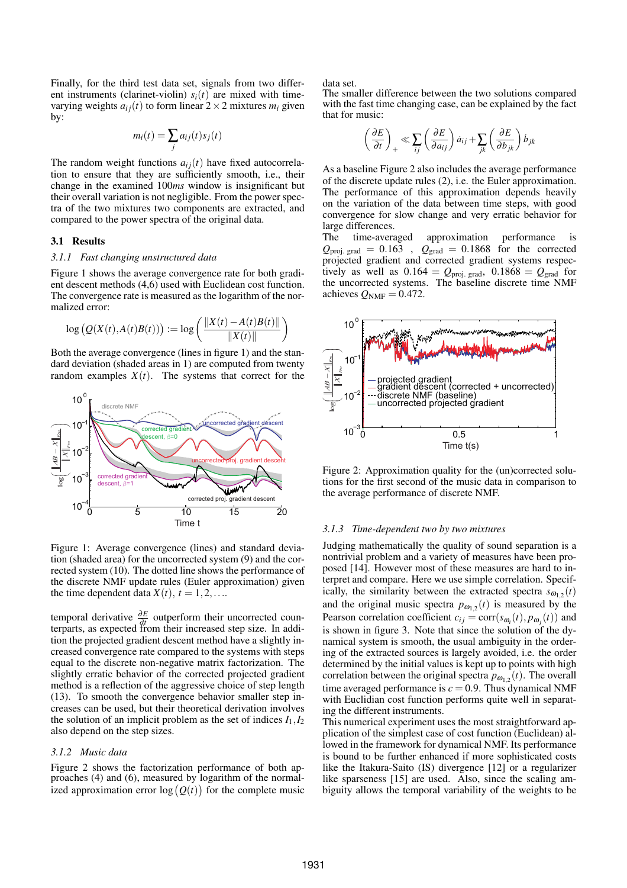Finally, for the third test data set, signals from two different instruments (clarinet-violin)  $s_i(t)$  are mixed with timevarying weights  $a_{ij}(t)$  to form linear  $2 \times 2$  mixtures  $m_i$  given by:

$$
m_i(t) = \sum_j a_{ij}(t) s_j(t)
$$

The random weight functions  $a_{ij}(t)$  have fixed autocorrelation to ensure that they are sufficiently smooth, i.e., their change in the examined 100*ms* window is insignificant but their overall variation is not negligible. From the power spectra of the two mixtures two components are extracted, and compared to the power spectra of the original data.

#### 3.1 Results

### *3.1.1 Fast changing unstructured data*

Figure 1 shows the average convergence rate for both gradient descent methods (4,6) used with Euclidean cost function. The convergence rate is measured as the logarithm of the normalized error:  $\mathbf{r}$ 

$$
\log\left(Q(X(t),A(t)B(t))\right) := \log\left(\frac{\|X(t) - A(t)B(t)\|}{\|X(t)\|}\right)
$$

Both the average convergence (lines in figure 1) and the standard deviation (shaded areas in 1) are computed from twenty random examples  $X(t)$ . The systems that correct for the



Figure 1: Average convergence (lines) and standard deviation (shaded area) for the uncorrected system (9) and the corrected system (10). The dotted line shows the performance of the discrete NMF update rules (Euler approximation) given the time dependent data  $X(t)$ ,  $t = 1, 2, \ldots$ 

temporal derivative  $\frac{\partial E}{\partial t}$  outperform their uncorrected counterparts, as expected from their increased step size. In addition the projected gradient descent method have a slightly increased convergence rate compared to the systems with steps equal to the discrete non-negative matrix factorization. The slightly erratic behavior of the corrected projected gradient method is a reflection of the aggressive choice of step length (13). To smooth the convergence behavior smaller step increases can be used, but their theoretical derivation involves the solution of an implicit problem as the set of indices  $I_1, I_2$ also depend on the step sizes.

#### *3.1.2 Music data*

Figure 2 shows the factorization performance of both approaches (4) and (6), measured by logarithm of the normal-¢ proacnes (4) and (6), measured by logarithm of the normal-<br>ized approximation error  $log(Q(t))$  for the complete music data set.

The smaller difference between the two solutions compared with the fast time changing case, can be explained by the fact that for music:

$$
\left(\frac{\partial E}{\partial t}\right)_+ \ll \sum_{ij} \left(\frac{\partial E}{\partial a_{ij}}\right) \dot{a}_{ij} + \sum_{jk} \left(\frac{\partial E}{\partial b_{jk}}\right) \dot{b}_{jk}
$$

As a baseline Figure 2 also includes the average performance of the discrete update rules (2), i.e. the Euler approximation. The performance of this approximation depends heavily on the variation of the data between time steps, with good convergence for slow change and very erratic behavior for large differences.

The time-averaged approximation performance is  $Q_{\text{proj. grad}} = 0.163$ ,  $Q_{\text{grad}} = 0.1868$  for the corrected projected gradient and corrected gradient systems respectively as well as  $0.164 = Q_{\text{proj. grad}}$ ,  $0.1868 = Q_{\text{grad}}$  for the uncorrected systems. The baseline discrete time NMF achieves  $Q_{NMF} = 0.472$ .



Figure 2: Approximation quality for the (un)corrected solutions for the first second of the music data in comparison to the average performance of discrete NMF.

#### *3.1.3 Time-dependent two by two mixtures*

Judging mathematically the quality of sound separation is a nontrivial problem and a variety of measures have been proposed [14]. However most of these measures are hard to interpret and compare. Here we use simple correlation. Specifically, the similarity between the extracted spectra  $s_{\omega_{1,2}}(t)$ and the original music spectra  $p_{\omega_{1,2}}(t)$  is measured by the Pearson correlation coefficient  $c_{ij} = \text{corr}(s_{\omega_i}(t), p_{\omega_j}(t))$  and is shown in figure 3. Note that since the solution of the dynamical system is smooth, the usual ambiguity in the ordering of the extracted sources is largely avoided, i.e. the order determined by the initial values is kept up to points with high correlation between the original spectra  $p_{\omega_{1,2}}(t)$ . The overall time averaged performance is  $c = 0.9$ . Thus dynamical NMF with Euclidian cost function performs quite well in separating the different instruments.

This numerical experiment uses the most straightforward application of the simplest case of cost function (Euclidean) allowed in the framework for dynamical NMF. Its performance is bound to be further enhanced if more sophisticated costs like the Itakura-Saito (IS) divergence [12] or a regularizer like sparseness [15] are used. Also, since the scaling ambiguity allows the temporal variability of the weights to be